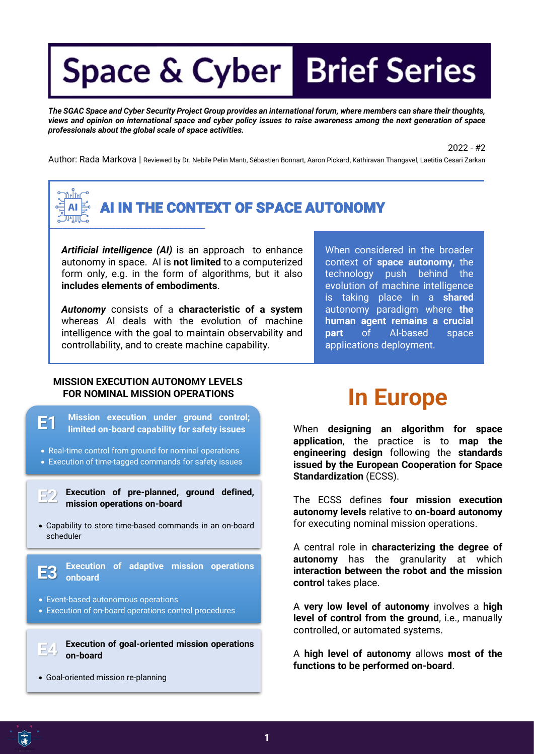*The SGAC Space and Cyber Security Project Group provides an international forum, where members can share their thoughts, views and opinion on international space and cyber policy issues to raise awareness among the next generation of space professionals about the global scale of space activities.*

2022 - #2

Author: Rada Markova | Reviewed by Dr. Nebile Pelin Mantı, Sébastien Bonnart, Aaron Pickard, Kathiravan Thangavel, Laetitia Cesari Zarkan



### AI IN THE CONTEXT OF SPACE AUTONOMY

*Artificial intelligence (AI)* is an approach to enhance autonomy in space. AI is **not limited** to a computerized form only, e.g. in the form of algorithms, but it also **includes elements of embodiments**.

*Autonomy* consists of a **characteristic of a system** whereas AI deals with the evolution of machine intelligence with the goal to maintain observability and controllability, and to create machine capability.

When considered in the broader context of **space autonomy**, the technology push behind the evolution of machine intelligence is taking place in a **shared** autonomy paradigm where **the human agent remains a crucial part** of AI-based space applications deployment.

## **MISSION EXECUTION AUTONOMY LEVELS**

- **Mission execution under ground control; limited on-board capability for safety issues E1**
- Real-time control from ground for nominal operations
- Execution of time-tagged commands for safety issues

**Execution of pre-planned, ground defined, mission operations on-board E2**

• Capability to store time-based commands in an on-board scheduler

> **Execution of adaptive mission operations onboard**

• Event-based autonomous operations

**E3**

• Execution of on-board operations control procedures

**Execution of goal-oriented mission operations on-board E4**

• Goal-oriented mission re-planning

## **EXECUTE ASSIGN OPERATIONS IN EUROPE**

When **designing an algorithm for space application**, the practice is to **map the engineering design** following the **standards issued by the European Cooperation for Space Standardization** (ECSS).

The ECSS defines **four mission execution autonomy levels** relative to **on-board autonomy**  for executing nominal mission operations.

A central role in **characterizing the degree of autonomy** has the granularity at which **interaction between the robot and the mission control** takes place.

A **very low level of autonomy** involves a **high level of control from the ground**, i.e., manually controlled, or automated systems.

A **high level of autonomy** allows **most of the functions to be performed on-board**.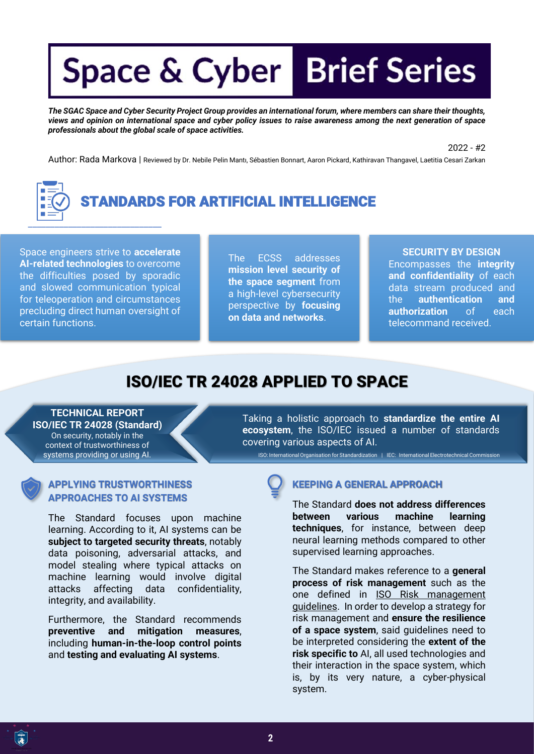*The SGAC Space and Cyber Security Project Group provides an international forum, where members can share their thoughts, views and opinion on international space and cyber policy issues to raise awareness among the next generation of space professionals about the global scale of space activities.*

2022 - #2

Author: Rada Markova | Reviewed by Dr. Nebile Pelin Mantı, Sébastien Bonnart, Aaron Pickard, Kathiravan Thangavel, Laetitia Cesari Zarkan



Space engineers strive to **accelerate AI-related technologies** to overcome the difficulties posed by sporadic and slowed communication typical for teleoperation and circumstances precluding direct human oversight of certain functions.

The ECSS addresses **mission level security of the space segment** from a high-level cybersecurity perspective by **focusing on data and networks**.

**SECURITY BY DESIGN**

Encompasses the **integrity and confidentiality** of each data stream produced and the **authentication and authorization** of each telecommand received.

#### ISO/IEC TR 24028 APPLIED TO SPACE

**TECHNICAL REPORT ISO/IEC TR 24028 (Standard)** On security, notably in the context of trustworthiness of systems providing or using AI.

**APPROACHES TO AI SYSTEMS**

### **APPLYING TRUSTWORTHINESS**

The Standard focuses upon machine learning. According to it, AI systems can be **subject to targeted security threats**, notably data poisoning, adversarial attacks, and model stealing where typical attacks on machine learning would involve digital attacks affecting data confidentiality, integrity, and availability.

Furthermore, the Standard recommends **preventive and mitigation measures**, including **human-in-the-loop control points** and **testing and evaluating AI systems**.

Taking a holistic approach to **standardize the entire AI ecosystem**, the ISO/IEC issued a number of standards covering various aspects of AI.

ISO: International Organisation for Standardization | IEC: International Electrotechnical Commission

#### **KEEPING A GENERAL APPROACH**

The Standard **does not address differences between various machine learning techniques**, for instance, between deep neural learning methods compared to other supervised learning approaches.

The Standard makes reference to a **general process of risk management** such as the one defined in ISO Risk management guidelines. In order to develop a strategy for risk management and **ensure the resilience of a space system**, said guidelines need to be interpreted considering the **extent of the risk specific to** AI, all used technologies and their interaction in the space system, which is, by its very nature, a cyber-physical system.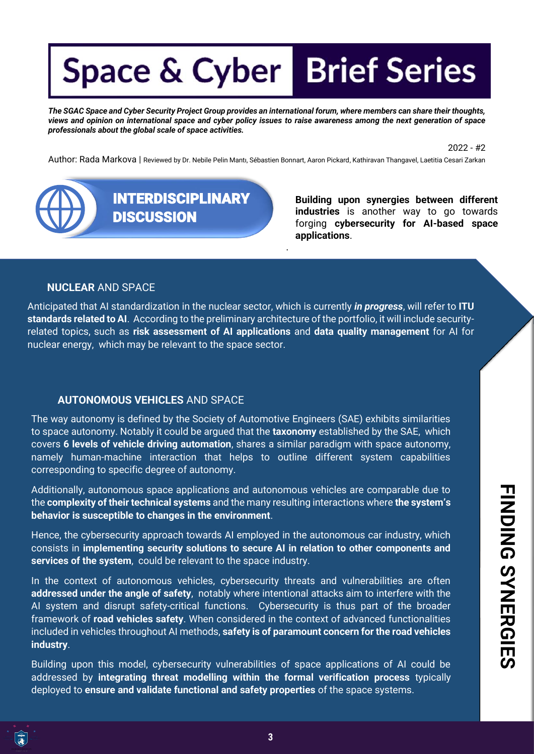*The SGAC Space and Cyber Security Project Group provides an international forum, where members can share their thoughts, views and opinion on international space and cyber policy issues to raise awareness among the next generation of space professionals about the global scale of space activities.*

2022 - #2

Author: Rada Markova | Reviewed by Dr. Nebile Pelin Mantı, Sébastien Bonnart, Aaron Pickard, Kathiravan Thangavel, Laetitia Cesari Zarkan

.



**Building upon synergies between different industries** is another way to go towards forging **cybersecurity for AI-based space applications**.

#### **NUCLEAR** AND SPACE

Anticipated that AI standardization in the nuclear sector, which is currently *in progress*, will refer to **ITU standards related to AI**. According to the preliminary architecture of the portfolio, it will include securityrelated topics, such as **risk assessment of AI applications** and **data quality management** for AI for nuclear energy, which may be relevant to the space sector.

#### **AUTONOMOUS VEHICLES** AND SPACE

The way autonomy is defined by the Society of Automotive Engineers (SAE) exhibits similarities to space autonomy. Notably it could be argued that the **taxonomy** established by the SAE, which covers **6 levels of vehicle driving automation**, shares a similar paradigm with space autonomy, namely human-machine interaction that helps to outline different system capabilities corresponding to specific degree of autonomy.

Additionally, autonomous space applications and autonomous vehicles are comparable due to the **complexity of their technical systems** and the many resulting interactions where **the system's behavior is susceptible to changes in the environment**.

Hence, the cybersecurity approach towards AI employed in the autonomous car industry, which consists in **implementing security solutions to secure AI in relation to other components and services of the system**, could be relevant to the space industry.

In the context of autonomous vehicles, cybersecurity threats and vulnerabilities are often **addressed under the angle of safety**, notably where intentional attacks aim to interfere with the AI system and disrupt safety-critical functions. Cybersecurity is thus part of the broader framework of **road vehicles safety**. When considered in the context of advanced functionalities included in vehicles throughout AI methods, **safety is of paramount concern for the road vehicles industry**.

Building upon this model, cybersecurity vulnerabilities of space applications of AI could be addressed by **integrating threat modelling within the formal verification process** typically deployed to **ensure and validate functional and safety properties** of the space systems.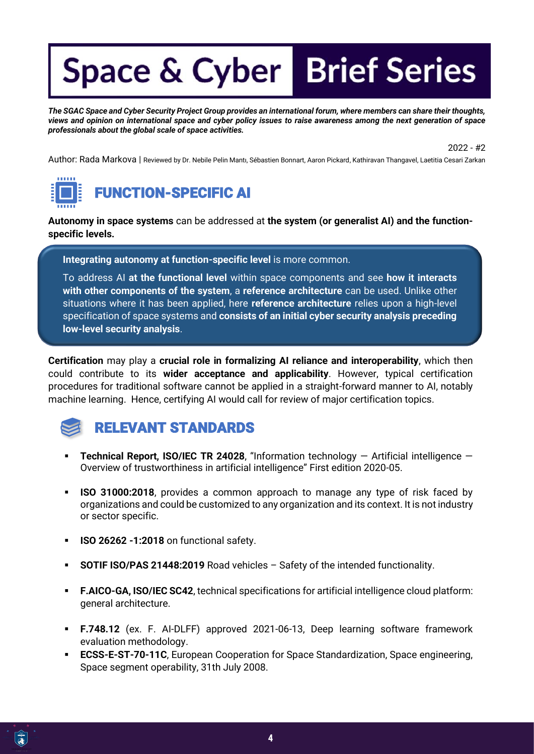*The SGAC Space and Cyber Security Project Group provides an international forum, where members can share their thoughts, views and opinion on international space and cyber policy issues to raise awareness among the next generation of space professionals about the global scale of space activities.*

2022 - #2

Author: Rada Markova | Reviewed by Dr. Nebile Pelin Mantı, Sébastien Bonnart, Aaron Pickard, Kathiravan Thangavel, Laetitia Cesari Zarkan



### FUNCTION-SPECIFIC AI

**Autonomy in space systems** can be addressed at **the system (or generalist AI) and the functionspecific levels.**

**Integrating autonomy at function-specific level** is more common.

To address AI **at the functional level** within space components and see **how it interacts with other components of the system**, a **reference architecture** can be used. Unlike other situations where it has been applied, here **reference architecture** relies upon a high-level specification of space systems and **consists of an initial cyber security analysis preceding low-level security analysis**.

**Certification** may play a **crucial role in formalizing AI reliance and interoperability**, which then could contribute to its **wider acceptance and applicability**. However, typical certification procedures for traditional software cannot be applied in a straight-forward manner to AI, notably machine learning. Hence, certifying AI would call for review of major certification topics.



### RELEVANT STANDARDS

- **Technical Report, ISO/IEC TR 24028**, "Information technology Artificial intelligence Overview of trustworthiness in artificial intelligence" First edition 2020-05.
- **ISO 31000:2018**, provides a common approach to manage any type of risk faced by organizations and could be customized to any organization and its context. It is not industry or sector specific.
- **ISO 26262 -1:2018** on functional safety.
- **SOTIF ISO/PAS 21448:2019** Road vehicles Safety of the intended functionality.
- **F.AICO-GA, ISO/IEC SC42**, technical specifications for artificial intelligence cloud platform: general architecture.
- **F.748.12** (ex. F. AI-DLFF) approved 2021-06-13, Deep learning software framework evaluation methodology.
- **ECSS-E-ST-70-11C, European Cooperation for Space Standardization, Space engineering,** Space segment operability, 31th July 2008.